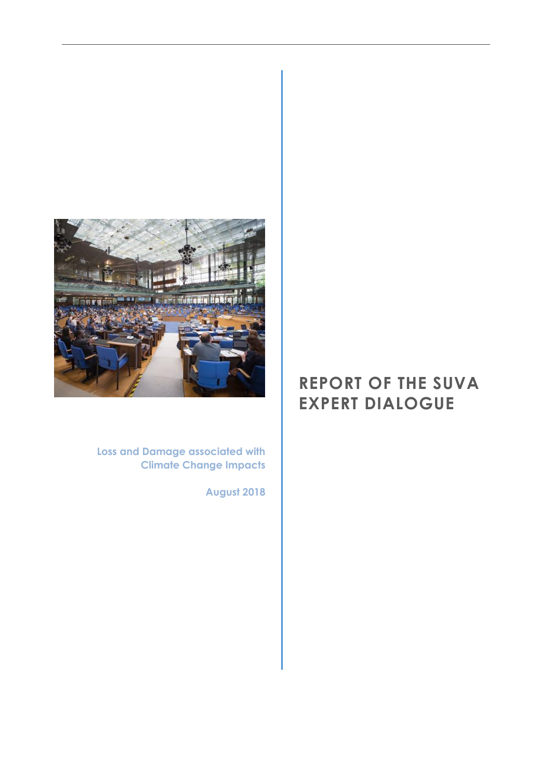

**Loss and Damage associated with Climate Change Impacts**

**August 2018**

# **REPORT OF THE SUVA EXPERT DIALOGUE**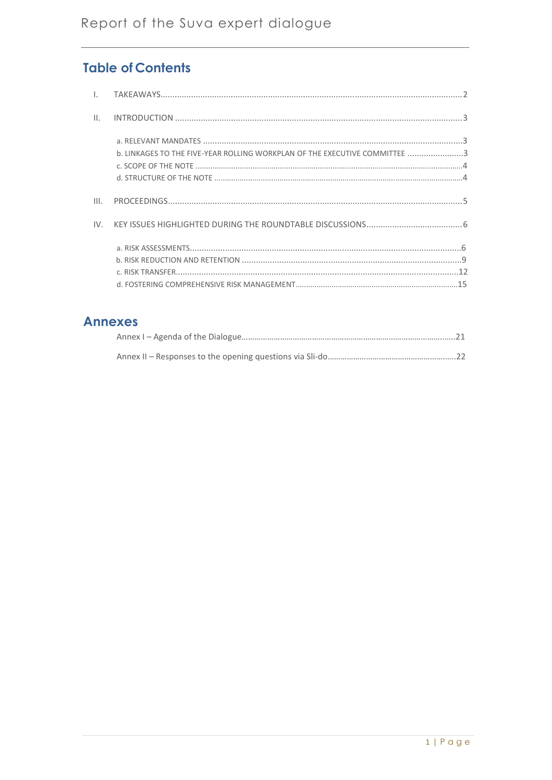# **Table of Contents**

| $\mathbf{II}$ . |                                                                            |
|-----------------|----------------------------------------------------------------------------|
|                 | b. LINKAGES TO THE FIVE-YEAR ROLLING WORKPLAN OF THE EXECUTIVE COMMITTEE 3 |
| III.            |                                                                            |
| IV              |                                                                            |
|                 |                                                                            |
|                 |                                                                            |
|                 |                                                                            |
|                 |                                                                            |

# **Annexes**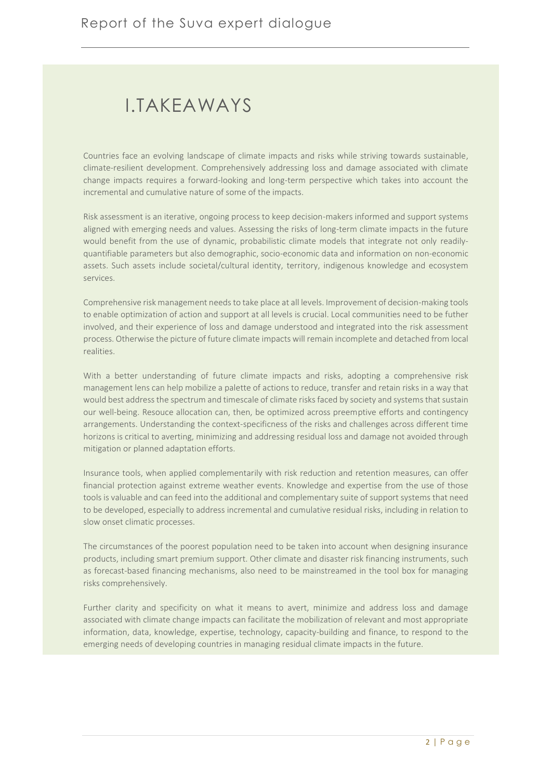# <span id="page-2-0"></span>I.TAKEAWAYS

Countries face an evolving landscape of climate impacts and risks while striving towards sustainable, climate-resilient development. Comprehensively addressing loss and damage associated with climate change impacts requires a forward-looking and long-term perspective which takes into account the incremental and cumulative nature of some of the impacts.

Risk assessment is an iterative, ongoing process to keep decision-makers informed and support systems aligned with emerging needs and values. Assessing the risks of long-term climate impacts in the future would benefit from the use of dynamic, probabilistic climate models that integrate not only readilyquantifiable parameters but also demographic, socio-economic data and information on non-economic assets. Such assets include societal/cultural identity, territory, indigenous knowledge and ecosystem services.

Comprehensive risk management needs to take place at all levels. Improvement of decision-making tools to enable optimization of action and support at all levels is crucial. Local communities need to be futher involved, and their experience of loss and damage understood and integrated into the risk assessment process. Otherwise the picture of future climate impacts will remain incomplete and detached from local realities.

With a better understanding of future climate impacts and risks, adopting a comprehensive risk management lens can help mobilize a palette of actions to reduce, transfer and retain risks in a way that would best address the spectrum and timescale of climate risks faced by society and systems that sustain our well-being. Resouce allocation can, then, be optimized across preemptive efforts and contingency arrangements. Understanding the context-specificness of the risks and challenges across different time horizons is critical to averting, minimizing and addressing residual loss and damage not avoided through mitigation or planned adaptation efforts.

Insurance tools, when applied complementarily with risk reduction and retention measures, can offer financial protection against extreme weather events. Knowledge and expertise from the use of those tools is valuable and can feed into the additional and complementary suite of support systems that need to be developed, especially to address incremental and cumulative residual risks, including in relation to slow onset climatic processes.

The circumstances of the poorest population need to be taken into account when designing insurance products, including smart premium support. Other climate and disaster risk financing instruments, such as forecast-based financing mechanisms, also need to be mainstreamed in the tool box for managing risks comprehensively.

Further clarity and specificity on what it means to avert, minimize and address loss and damage associated with climate change impacts can facilitate the mobilization of relevant and most appropriate information, data, knowledge, expertise, technology, capacity-building and finance, to respond to the emerging needs of developing countries in managing residual climate impacts in the future.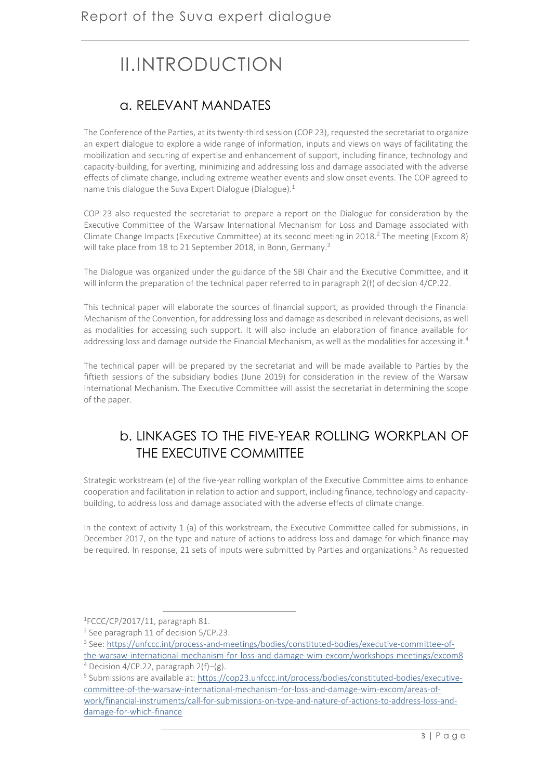# <span id="page-3-0"></span>II.INTRODUCTION

# a. RELEVANT MANDATES

The Conference of the Parties, at its twenty-third session (COP 23), requested the secretariat to organize an expert dialogue to explore a wide range of information, inputs and views on ways of facilitating the mobilization and securing of expertise and enhancement of support, including finance, technology and capacity-building, for averting, minimizing and addressing loss and damage associated with the adverse effects of climate change, including extreme weather events and slow onset events. The COP agreed to name this dialogue the Suva Expert Dialogue (Dialogue).<sup>1</sup>

COP 23 also requested the secretariat to prepare a report on the Dialogue for consideration by the Executive Committee of the Warsaw International Mechanism for Loss and Damage associated with Climate Change Impacts (Executive Committee) at its second meeting in 2018.<sup>2</sup> The meeting (Excom 8) will take place from 18 to 21 September 2018, in Bonn, Germany.<sup>3</sup>

The Dialogue was organized under the guidance of the SBI Chair and the Executive Committee, and it will inform the preparation of the technical paper referred to in paragraph 2(f) of decision 4/CP.22.

This technical paper will elaborate the sources of financial support, as provided through the Financial Mechanism of the Convention, for addressing loss and damage as described in relevant decisions, as well as modalities for accessing such support. It will also include an elaboration of finance available for addressing loss and damage outside the Financial Mechanism, as well as the modalities for accessing it.<sup>4</sup>

The technical paper will be prepared by the secretariat and will be made available to Parties by the fiftieth sessions of the subsidiary bodies (June 2019) for consideration in the review of the Warsaw International Mechanism. The Executive Committee will assist the secretariat in determining the scope of the paper.

# b. LINKAGES TO THE FIVE-YEAR ROLLING WORKPLAN OF THE EXECUTIVE COMMITTEE

Strategic workstream (e) of the five-year rolling workplan of the Executive Committee aims to enhance cooperation and facilitation in relation to action and support, including finance, technology and capacitybuilding, to address loss and damage associated with the adverse effects of climate change.

In the context of activity 1 (a) of this workstream, the Executive Committee called for submissions, in December 2017, on the type and nature of actions to address loss and damage for which finance may be required. In response, 21 sets of inputs were submitted by Parties and organizations. <sup>5</sup> As requested

1

<sup>1</sup> FCCC/CP/2017/11, paragraph 81.

<sup>&</sup>lt;sup>2</sup> See paragraph 11 of decision 5/CP.23.

<sup>&</sup>lt;sup>3</sup> See: <u>https://unfccc.int/process-and-meetings/bodies/constituted-bodies/executive-committee-of-</u> [the-warsaw-international-mechanism-for-loss-and-damage-wim-excom/workshops-meetings/excom8](https://unfccc.int/process-and-meetings/bodies/constituted-bodies/executive-committee-of-the-warsaw-international-mechanism-for-loss-and-damage-wim-excom/workshops-meetings/excom8)

 $4$  Decision 4/CP.22, paragraph 2(f)–(g).

<sup>&</sup>lt;sup>5</sup> Submissions are available at: [https://cop23.unfccc.int/process/bodies/constituted-bodies/executive](https://cop23.unfccc.int/process/bodies/constituted-bodies/executive-committee-of-the-warsaw-international-mechanism-for-loss-and-damage-wim-excom/areas-of-work/financial-instruments/call-for-submissions-on-type-and-nature-of-actions-to-address-loss-and-damage-for-which-finance)[committee-of-the-warsaw-international-mechanism-for-loss-and-damage-wim-excom/areas-of](https://cop23.unfccc.int/process/bodies/constituted-bodies/executive-committee-of-the-warsaw-international-mechanism-for-loss-and-damage-wim-excom/areas-of-work/financial-instruments/call-for-submissions-on-type-and-nature-of-actions-to-address-loss-and-damage-for-which-finance)[work/financial-instruments/call-for-submissions-on-type-and-nature-of-actions-to-address-loss-and](https://cop23.unfccc.int/process/bodies/constituted-bodies/executive-committee-of-the-warsaw-international-mechanism-for-loss-and-damage-wim-excom/areas-of-work/financial-instruments/call-for-submissions-on-type-and-nature-of-actions-to-address-loss-and-damage-for-which-finance)[damage-for-which-finance](https://cop23.unfccc.int/process/bodies/constituted-bodies/executive-committee-of-the-warsaw-international-mechanism-for-loss-and-damage-wim-excom/areas-of-work/financial-instruments/call-for-submissions-on-type-and-nature-of-actions-to-address-loss-and-damage-for-which-finance)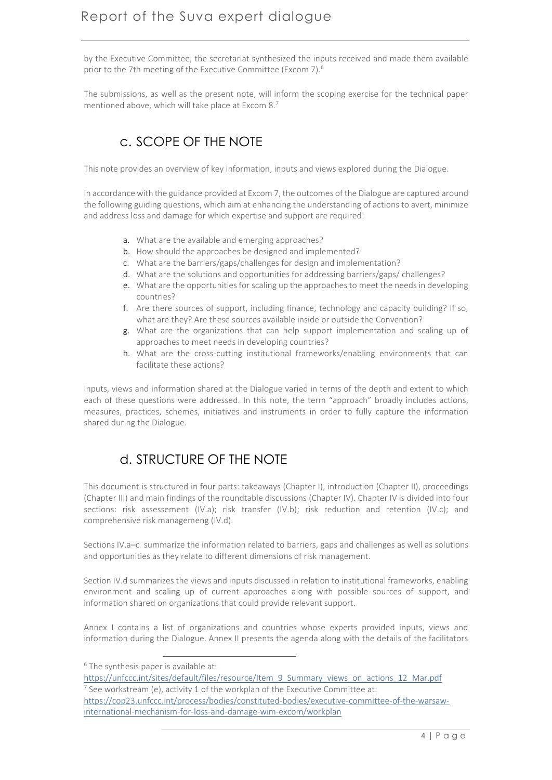by the Executive Committee, the secretariat synthesized the inputs received and made them available prior to the 7th meeting of the Executive Committee (Excom 7).<sup>6</sup>

The submissions, as well as the present note, will inform the scoping exercise for the technical paper mentioned above, which will take place at Excom 8.<sup>7</sup>

# c. SCOPE OF THE NOTE

This note provides an overview of key information, inputs and views explored during the Dialogue.

In accordance with the guidance provided at Excom 7, the outcomes of the Dialogue are captured around the following guiding questions, which aim at enhancing the understanding of actions to avert, minimize and address loss and damage for which expertise and support are required:

- a. What are the available and emerging approaches?
- b. How should the approaches be designed and implemented?
- c. What are the barriers/gaps/challenges for design and implementation?
- d. What are the solutions and opportunities for addressing barriers/gaps/ challenges?
- e. What are the opportunities for scaling up the approaches to meet the needs in developing countries?
- f. Are there sources of support, including finance, technology and capacity building? If so, what are they? Are these sources available inside or outside the Convention?
- g. What are the organizations that can help support implementation and scaling up of approaches to meet needs in developing countries?
- h. What are the cross-cutting institutional frameworks/enabling environments that can facilitate these actions?

Inputs, views and information shared at the Dialogue varied in terms of the depth and extent to which each of these questions were addressed. In this note, the term "approach" broadly includes actions, measures, practices, schemes, initiatives and instruments in order to fully capture the information shared during the Dialogue.

# d. STRUCTURE OF THE NOTE

This document is structured in four parts: takeaways (Chapter I), introduction (Chapter II), proceedings (Chapter III) and main findings of the roundtable discussions (Chapter IV). Chapter IV is divided into four sections: risk assessement (IV.a); risk transfer (IV.b); risk reduction and retention (IV.c); and comprehensive risk managemeng (IV.d).

Sections IV.a–c summarize the information related to barriers, gaps and challenges as well as solutions and opportunities as they relate to different dimensions of risk management.

Section IV.d summarizes the views and inputs discussed in relation to institutional frameworks, enabling environment and scaling up of current approaches along with possible sources of support, and information shared on organizations that could provide relevant support.

Annex I contains a list of organizations and countries whose experts provided inputs, views and information during the Dialogue. Annex II presents the agenda along with the details of the facilitators

1

<sup>&</sup>lt;sup>6</sup> The synthesis paper is available at:

[https://unfccc.int/sites/default/files/resource/Item\\_9\\_Summary\\_views\\_on\\_actions\\_12\\_Mar.pdf](https://unfccc.int/sites/default/files/resource/Item_9_Summary_views_on_actions_12_Mar.pdf)  $^7$  See workstream (e), activity 1 of the workplan of the Executive Committee at:

[https://cop23.unfccc.int/process/bodies/constituted-bodies/executive-committee-of-the-warsaw](https://cop23.unfccc.int/process/bodies/constituted-bodies/executive-committee-of-the-warsaw-international-mechanism-for-loss-and-damage-wim-excom/workplan)[international-mechanism-for-loss-and-damage-wim-excom/workplan](https://cop23.unfccc.int/process/bodies/constituted-bodies/executive-committee-of-the-warsaw-international-mechanism-for-loss-and-damage-wim-excom/workplan)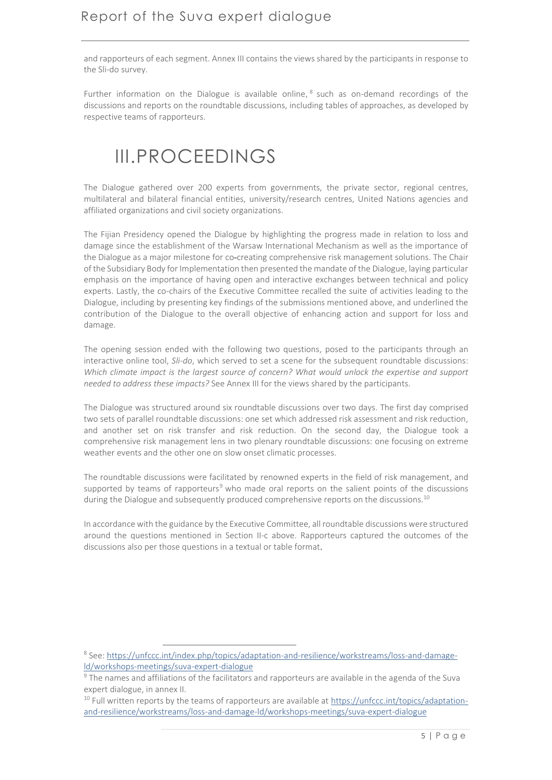and rapporteurs of each segment. Annex III contains the views shared by the participants in response to the Sli-do survey.

Further information on the Dialogue is available online, <sup>8</sup> such as on-demand recordings of the discussions and reports on the roundtable discussions, including tables of approaches, as developed by respective teams of rapporteurs.

# <span id="page-5-0"></span>III.PROCEEDINGS

The Dialogue gathered over 200 experts from governments, the private sector, regional centres, multilateral and bilateral financial entities, university/research centres, United Nations agencies and affiliated organizations and civil society organizations.

The Fijian Presidency opened the Dialogue by highlighting the progress made in relation to loss and damage since the establishment of the Warsaw International Mechanism as well as the importance of the Dialogue as a major milestone for co-creating comprehensive risk management solutions. The Chair of the Subsidiary Body for Implementation then presented the mandate of the Dialogue, laying particular emphasis on the importance of having open and interactive exchanges between technical and policy experts. Lastly, the co-chairs of the Executive Committee recalled the suite of activities leading to the Dialogue, including by presenting key findings of the submissions mentioned above, and underlined the contribution of the Dialogue to the overall objective of enhancing action and support for loss and damage.

The opening session ended with the following two questions, posed to the participants through an interactive online tool, *Sli-do*, which served to set a scene for the subsequent roundtable discussions: *Which climate impact is the largest source of concern? What would unlock the expertise and support needed to address these impacts?* See Annex III for the views shared by the participants.

The Dialogue was structured around six roundtable discussions over two days. The first day comprised two sets of parallel roundtable discussions: one set which addressed risk assessment and risk reduction, and another set on risk transfer and risk reduction. On the second day, the Dialogue took a comprehensive risk management lens in two plenary roundtable discussions: one focusing on extreme weather events and the other one on slow onset climatic processes.

The roundtable discussions were facilitated by renowned experts in the field of risk management, and supported by teams of rapporteurs<sup>9</sup> who made oral reports on the salient points of the discussions during the Dialogue and subsequently produced comprehensive reports on the discussions.<sup>10</sup>

In accordance with the guidance by the Executive Committee, all roundtable discussions were structured around the questions mentioned in Section II-c above. Rapporteurs captured the outcomes of the discussions also per those questions in a textual or table format.

1

<sup>&</sup>lt;sup>8</sup> See[: https://unfccc.int/index.php/topics/adaptation-and-resilience/workstreams/loss-and-damage](https://unfccc.int/index.php/topics/adaptation-and-resilience/workstreams/loss-and-damage-ld/workshops-meetings/suva-expert-dialogue)[ld/workshops-meetings/suva-expert-dialogue](https://unfccc.int/index.php/topics/adaptation-and-resilience/workstreams/loss-and-damage-ld/workshops-meetings/suva-expert-dialogue)

<sup>9</sup> The names and affiliations of the facilitators and rapporteurs are available in the agenda of the Suva expert dialogue, in annex II.

<sup>&</sup>lt;sup>10</sup> Full written reports by the teams of rapporteurs are available at [https://unfccc.int/topics/adaptation](https://unfccc.int/topics/adaptation-and-resilience/workstreams/loss-and-damage-ld/workshops-meetings/suva-expert-dialogue)[and-resilience/workstreams/loss-and-damage-ld/workshops-meetings/suva-expert-dialogue](https://unfccc.int/topics/adaptation-and-resilience/workstreams/loss-and-damage-ld/workshops-meetings/suva-expert-dialogue)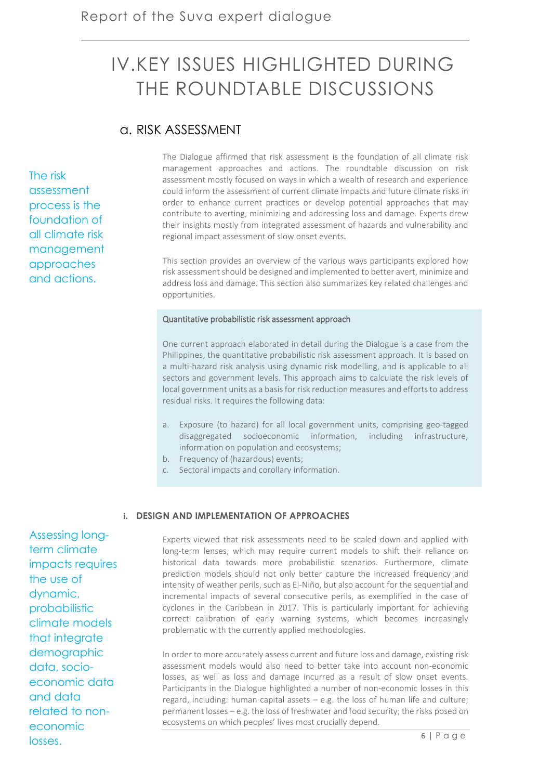# <span id="page-6-0"></span>IV.KEY ISSUES HIGHLIGHTED DURING THE ROUNDTABLE DISCUSSIONS

# a. RISK ASSESSMENT

The risk assessment process is the foundation of all climate risk management approaches and actions.

The Dialogue affirmed that risk assessment is the foundation of all climate risk management approaches and actions. The roundtable discussion on risk assessment mostly focused on ways in which a wealth of research and experience could inform the assessment of current climate impacts and future climate risks in order to enhance current practices or develop potential approaches that may contribute to averting, minimizing and addressing loss and damage. Experts drew their insights mostly from integrated assessment of hazards and vulnerability and regional impact assessment of slow onset events.

This section provides an overview of the various ways participants explored how risk assessment should be designed and implemented to better avert, minimize and address loss and damage. This section also summarizes key related challenges and opportunities.

#### Quantitative probabilistic risk assessment approach

One current approach elaborated in detail during the Dialogue is a case from the Philippines, the quantitative probabilistic risk assessment approach. It is based on a multi-hazard risk analysis using dynamic risk modelling, and is applicable to all sectors and government levels. This approach aims to calculate the risk levels of local government units as a basis for risk reduction measures and efforts to address residual risks. It requires the following data:

- a. Exposure (to hazard) for all local government units, comprising geo-tagged disaggregated socioeconomic information, including infrastructure, information on population and ecosystems;
- b. Frequency of (hazardous) events;
- c. Sectoral impacts and corollary information.

#### **i. DESIGN AND IMPLEMENTATION OF APPROACHES**

Experts viewed that risk assessments need to be scaled down and applied with long-term lenses, which may require current models to shift their reliance on historical data towards more probabilistic scenarios. Furthermore, climate prediction models should not only better capture the increased frequency and intensity of weather perils, such as El-Niño, but also account for the sequential and incremental impacts of several consecutive perils, as exemplified in the case of cyclones in the Caribbean in 2017. This is particularly important for achieving correct calibration of early warning systems, which becomes increasingly problematic with the currently applied methodologies.

In order to more accurately assess current and future loss and damage, existing risk assessment models would also need to better take into account non-economic losses, as well as loss and damage incurred as a result of slow onset events. Participants in the Dialogue highlighted a number of non-economic losses in this regard, including: human capital assets – e.g. the loss of human life and culture; permanent losses – e.g. the loss of freshwater and food security; the risks posed on ecosystems on which peoples' lives most crucially depend.

Assessing longterm climate impacts requires the use of dynamic, probabilistic climate models that integrate demographic data, socioeconomic data and data related to noneconomic losses.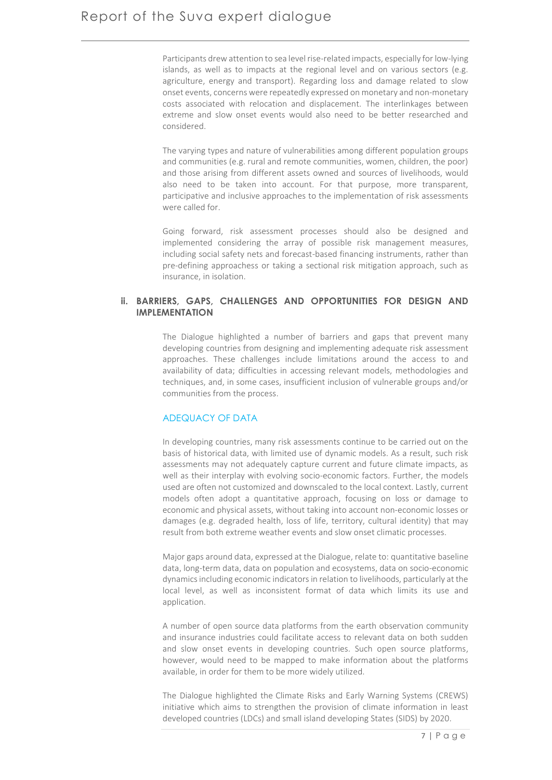Participants drew attention to sea level rise-related impacts, especially for low-lying islands, as well as to impacts at the regional level and on various sectors (e.g. agriculture, energy and transport). Regarding loss and damage related to slow onset events, concerns were repeatedly expressed on monetary and non-monetary costs associated with relocation and displacement. The interlinkages between extreme and slow onset events would also need to be better researched and considered.

The varying types and nature of vulnerabilities among different population groups and communities (e.g. rural and remote communities, women, children, the poor) and those arising from different assets owned and sources of livelihoods, would also need to be taken into account. For that purpose, more transparent, participative and inclusive approaches to the implementation of risk assessments were called for.

Going forward, risk assessment processes should also be designed and implemented considering the array of possible risk management measures, including social safety nets and forecast-based financing instruments, rather than pre-defining approachess or taking a sectional risk mitigation approach, such as insurance, in isolation.

## **ii. BARRIERS, GAPS, CHALLENGES AND OPPORTUNITIES FOR DESIGN AND IMPLEMENTATION**

The Dialogue highlighted a number of barriers and gaps that prevent many developing countries from designing and implementing adequate risk assessment approaches. These challenges include limitations around the access to and availability of data; difficulties in accessing relevant models, methodologies and techniques, and, in some cases, insufficient inclusion of vulnerable groups and/or communities from the process.

# ADEQUACY OF DATA

In developing countries, many risk assessments continue to be carried out on the basis of historical data, with limited use of dynamic models. As a result, such risk assessments may not adequately capture current and future climate impacts, as well as their interplay with evolving socio-economic factors. Further, the models used are often not customized and downscaled to the local context. Lastly, current models often adopt a quantitative approach, focusing on loss or damage to economic and physical assets, without taking into account non-economic losses or damages (e.g. degraded health, loss of life, territory, cultural identity) that may result from both extreme weather events and slow onset climatic processes.

Major gaps around data, expressed at the Dialogue, relate to: quantitative baseline data, long-term data, data on population and ecosystems, data on socio-economic dynamics including economic indicators in relation to livelihoods, particularly at the local level, as well as inconsistent format of data which limits its use and application.

A number of open source data platforms from the earth observation community and insurance industries could facilitate access to relevant data on both sudden and slow onset events in developing countries. Such open source platforms, however, would need to be mapped to make information about the platforms available, in order for them to be more widely utilized.

The Dialogue highlighted the Climate Risks and Early Warning Systems (CREWS) initiative which aims to strengthen the provision of climate information in least developed countries (LDCs) and small island developing States (SIDS) by 2020.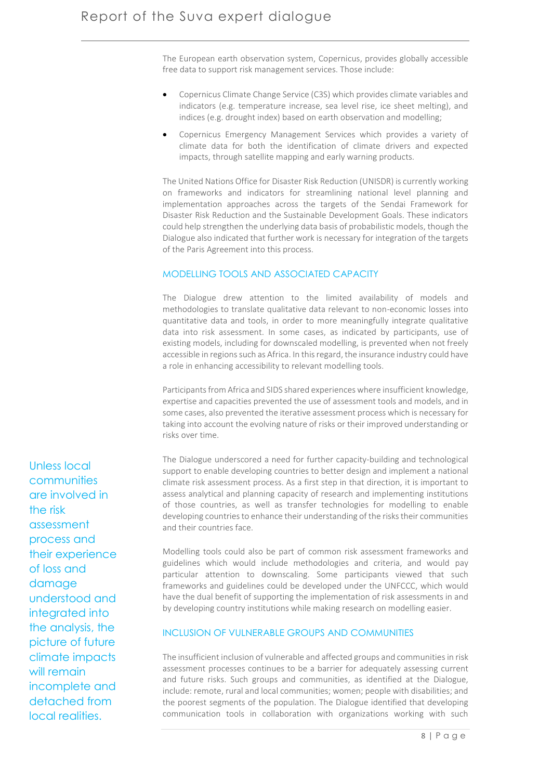The European earth observation system, Copernicus, provides globally accessible free data to support risk management services. Those include:

- Copernicus Climate Change Service (C3S) which provides climate variables and indicators (e.g. temperature increase, sea level rise, ice sheet melting), and indices (e.g. drought index) based on earth observation and modelling;
- Copernicus Emergency Management Services which provides a variety of climate data for both the identification of climate drivers and expected impacts, through satellite mapping and early warning products.

The United Nations Office for Disaster Risk Reduction (UNISDR) is currently working on frameworks and indicators for streamlining national level planning and implementation approaches across the targets of the Sendai Framework for Disaster Risk Reduction and the Sustainable Development Goals. These indicators could help strengthen the underlying data basis of probabilistic models, though the Dialogue also indicated that further work is necessary for integration of the targets of the Paris Agreement into this process.

# MODELLING TOOLS AND ASSOCIATED CAPACITY

The Dialogue drew attention to the limited availability of models and methodologies to translate qualitative data relevant to non-economic losses into quantitative data and tools, in order to more meaningfully integrate qualitative data into risk assessment. In some cases, as indicated by participants, use of existing models, including for downscaled modelling, is prevented when not freely accessible in regions such as Africa. In this regard, the insurance industry could have a role in enhancing accessibility to relevant modelling tools.

Participants from Africa and SIDS shared experiences where insufficient knowledge, expertise and capacities prevented the use of assessment tools and models, and in some cases, also prevented the iterative assessment process which is necessary for taking into account the evolving nature of risks or their improved understanding or risks over time.

The Dialogue underscored a need for further capacity-building and technological support to enable developing countries to better design and implement a national climate risk assessment process. As a first step in that direction, it is important to assess analytical and planning capacity of research and implementing institutions of those countries, as well as transfer technologies for modelling to enable developing countries to enhance their understanding of the risks their communities and their countries face.

Modelling tools could also be part of common risk assessment frameworks and guidelines which would include methodologies and criteria, and would pay particular attention to downscaling. Some participants viewed that such frameworks and guidelines could be developed under the UNFCCC, which would have the dual benefit of supporting the implementation of risk assessments in and by developing country institutions while making research on modelling easier.

## INCLUSION OF VULNERABLE GROUPS AND COMMUNITIES

The insufficient inclusion of vulnerable and affected groups and communities in risk assessment processes continues to be a barrier for adequately assessing current and future risks. Such groups and communities, as identified at the Dialogue, include: remote, rural and local communities; women; people with disabilities; and the poorest segments of the population. The Dialogue identified that developing communication tools in collaboration with organizations working with such

Unless local communities are involved in the risk assessment process and their experience of loss and damage understood and integrated into the analysis, the picture of future climate impacts will remain incomplete and detached from local realities.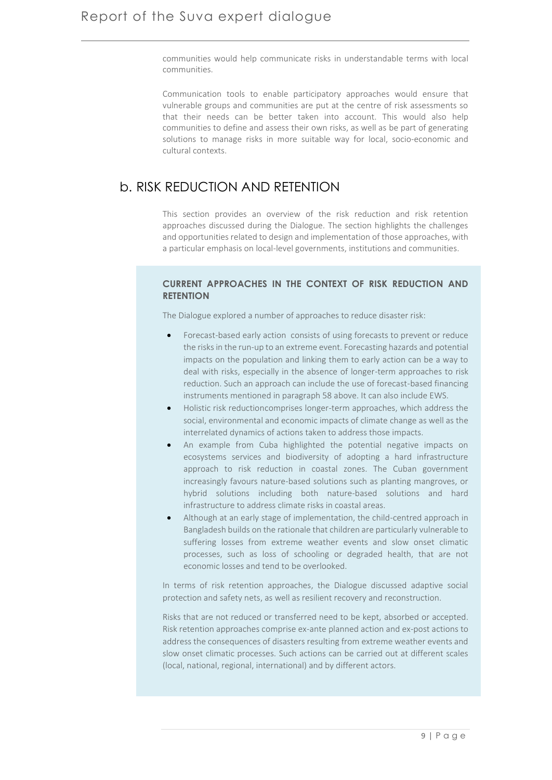communities would help communicate risks in understandable terms with local communities.

Communication tools to enable participatory approaches would ensure that vulnerable groups and communities are put at the centre of risk assessments so that their needs can be better taken into account. This would also help communities to define and assess their own risks, as well as be part of generating solutions to manage risks in more suitable way for local, socio-economic and cultural contexts.

# b. RISK REDUCTION AND RETENTION

This section provides an overview of the risk reduction and risk retention approaches discussed during the Dialogue. The section highlights the challenges and opportunities related to design and implementation of those approaches, with a particular emphasis on local-level governments, institutions and communities.

# **CURRENT APPROACHES IN THE CONTEXT OF RISK REDUCTION AND RETENTION**

The Dialogue explored a number of approaches to reduce disaster risk:

- Forecast-based early action consists of using forecasts to prevent or reduce the risks in the run-up to an extreme event. Forecasting hazards and potential impacts on the population and linking them to early action can be a way to deal with risks, especially in the absence of longer-term approaches to risk reduction. Such an approach can include the use of forecast-based financing instruments mentioned in paragraph 58 above. It can also include EWS.
- Holistic risk reductioncomprises longer-term approaches, which address the social, environmental and economic impacts of climate change as well as the interrelated dynamics of actions taken to address those impacts.
- An example from Cuba highlighted the potential negative impacts on ecosystems services and biodiversity of adopting a hard infrastructure approach to risk reduction in coastal zones. The Cuban government increasingly favours nature-based solutions such as planting mangroves, or hybrid solutions including both nature-based solutions and hard infrastructure to address climate risks in coastal areas.
- Although at an early stage of implementation, the child-centred approach in Bangladesh builds on the rationale that children are particularly vulnerable to suffering losses from extreme weather events and slow onset climatic processes, such as loss of schooling or degraded health, that are not economic losses and tend to be overlooked.

In terms of risk retention approaches, the Dialogue discussed adaptive social protection and safety nets, as well as resilient recovery and reconstruction.

Risks that are not reduced or transferred need to be kept, absorbed or accepted. Risk retention approaches comprise ex-ante planned action and ex-post actions to address the consequences of disasters resulting from extreme weather events and slow onset climatic processes. Such actions can be carried out at different scales (local, national, regional, international) and by different actors.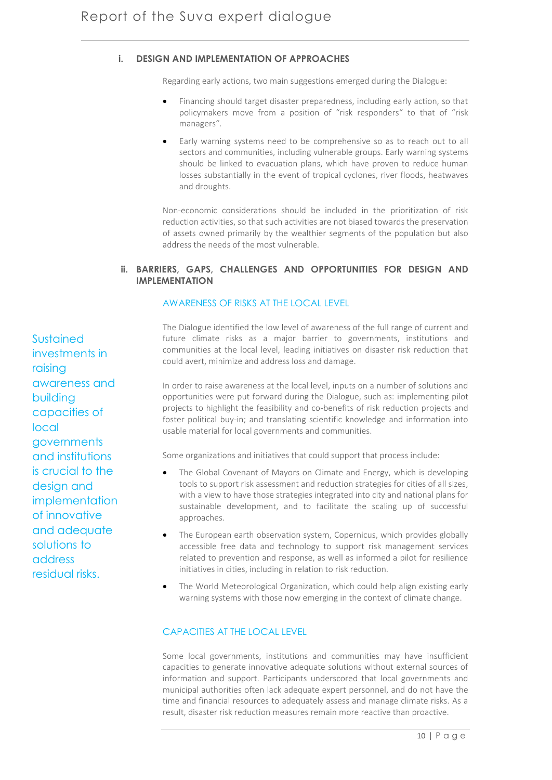# **i. DESIGN AND IMPLEMENTATION OF APPROACHES**

Regarding early actions, two main suggestions emerged during the Dialogue:

- Financing should target disaster preparedness, including early action, so that policymakers move from a position of "risk responders" to that of "risk managers".
- Early warning systems need to be comprehensive so as to reach out to all sectors and communities, including vulnerable groups. Early warning systems should be linked to evacuation plans, which have proven to reduce human losses substantially in the event of tropical cyclones, river floods, heatwaves and droughts.

Non-economic considerations should be included in the prioritization of risk reduction activities, so that such activities are not biased towards the preservation of assets owned primarily by the wealthier segments of the population but also address the needs of the most vulnerable.

# **ii. BARRIERS, GAPS, CHALLENGES AND OPPORTUNITIES FOR DESIGN AND IMPLEMENTATION**

# AWARENESS OF RISKS AT THE LOCAL LEVEL

The Dialogue identified the low level of awareness of the full range of current and future climate risks as a major barrier to governments, institutions and communities at the local level, leading initiatives on disaster risk reduction that could avert, minimize and address loss and damage.

In order to raise awareness at the local level, inputs on a number of solutions and opportunities were put forward during the Dialogue, such as: implementing pilot projects to highlight the feasibility and co-benefits of risk reduction projects and foster political buy-in; and translating scientific knowledge and information into usable material for local governments and communities.

Some organizations and initiatives that could support that process include:

- The Global Covenant of Mayors on Climate and Energy, which is developing tools to support risk assessment and reduction strategies for cities of all sizes, with a view to have those strategies integrated into city and national plans for sustainable development, and to facilitate the scaling up of successful approaches.
- The European earth observation system, Copernicus, which provides globally accessible free data and technology to support risk management services related to prevention and response, as well as informed a pilot for resilience initiatives in cities, including in relation to risk reduction.
- The World Meteorological Organization, which could help align existing early warning systems with those now emerging in the context of climate change.

# CAPACITIES AT THE LOCAL LEVEL

Some local governments, institutions and communities may have insufficient capacities to generate innovative adequate solutions without external sources of information and support. Participants underscored that local governments and municipal authorities often lack adequate expert personnel, and do not have the time and financial resources to adequately assess and manage climate risks. As a result, disaster risk reduction measures remain more reactive than proactive.

Sustained investments in raising awareness and building capacities of local governments and institutions is crucial to the design and implementation of innovative and adequate solutions to address residual risks.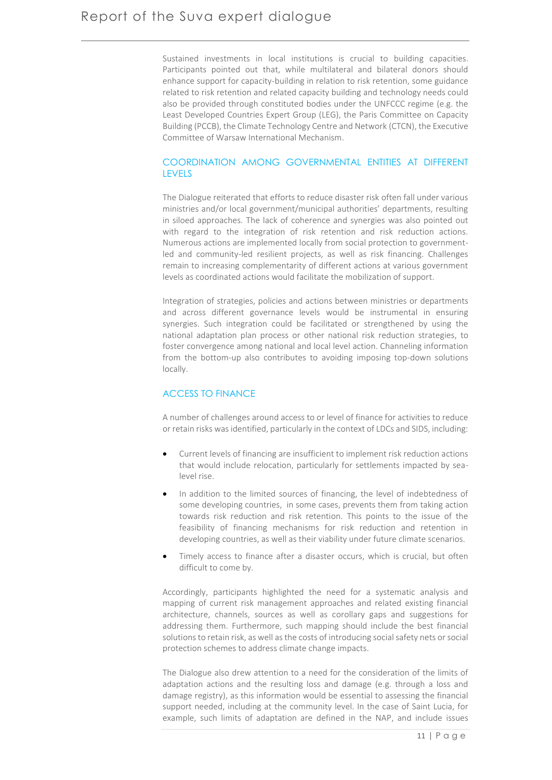Sustained investments in local institutions is crucial to building capacities. Participants pointed out that, while multilateral and bilateral donors should enhance support for capacity-building in relation to risk retention, some guidance related to risk retention and related capacity building and technology needs could also be provided through constituted bodies under the UNFCCC regime (e.g. the Least Developed Countries Expert Group (LEG), the Paris Committee on Capacity Building (PCCB), the Climate Technology Centre and Network (CTCN), the Executive Committee of Warsaw International Mechanism.

# COORDINATION AMONG GOVERNMENTAL ENTITIES AT DIFFERENT LEVELS

The Dialogue reiterated that efforts to reduce disaster risk often fall under various ministries and/or local government/municipal authorities' departments, resulting in siloed approaches. The lack of coherence and synergies was also pointed out with regard to the integration of risk retention and risk reduction actions. Numerous actions are implemented locally from social protection to governmentled and community-led resilient projects, as well as risk financing. Challenges remain to increasing complementarity of different actions at various government levels as coordinated actions would facilitate the mobilization of support.

Integration of strategies, policies and actions between ministries or departments and across different governance levels would be instrumental in ensuring synergies. Such integration could be facilitated or strengthened by using the national adaptation plan process or other national risk reduction strategies, to foster convergence among national and local level action. Channeling information from the bottom-up also contributes to avoiding imposing top-down solutions locally.

### ACCESS TO FINANCE

A number of challenges around access to or level of finance for activities to reduce or retain risks was identified, particularly in the context of LDCs and SIDS, including:

- Current levels of financing are insufficient to implement risk reduction actions that would include relocation, particularly for settlements impacted by sealevel rise.
- In addition to the limited sources of financing, the level of indebtedness of some developing countries, in some cases, prevents them from taking action towards risk reduction and risk retention. This points to the issue of the feasibility of financing mechanisms for risk reduction and retention in developing countries, as well as their viability under future climate scenarios.
- Timely access to finance after a disaster occurs, which is crucial, but often difficult to come by.

Accordingly, participants highlighted the need for a systematic analysis and mapping of current risk management approaches and related existing financial architecture, channels, sources as well as corollary gaps and suggestions for addressing them. Furthermore, such mapping should include the best financial solutions to retain risk, as well as the costs of introducing social safety nets or social protection schemes to address climate change impacts.

The Dialogue also drew attention to a need for the consideration of the limits of adaptation actions and the resulting loss and damage (e.g. through a loss and damage registry), as this information would be essential to assessing the financial support needed, including at the community level. In the case of Saint Lucia, for example, such limits of adaptation are defined in the NAP, and include issues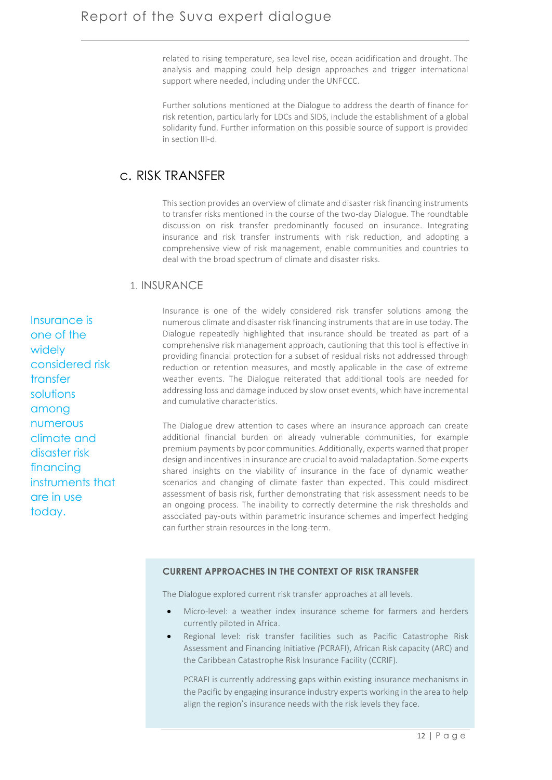related to rising temperature, sea level rise, ocean acidification and drought. The analysis and mapping could help design approaches and trigger international support where needed, including under the UNFCCC.

Further solutions mentioned at the Dialogue to address the dearth of finance for risk retention, particularly for LDCs and SIDS, include the establishment of a global solidarity fund. Further information on this possible source of support is provided in section III-d.

# c. RISK TRANSFER

This section provides an overview of climate and disaster risk financing instruments to transfer risks mentioned in the course of the two-day Dialogue. The roundtable discussion on risk transfer predominantly focused on insurance. Integrating insurance and risk transfer instruments with risk reduction, and adopting a comprehensive view of risk management, enable communities and countries to deal with the broad spectrum of climate and disaster risks.

# 1. INSURANCE

Insurance is one of the widely considered risk transfer solutions among numerous climate and disaster risk financing instruments that are in use today.

Insurance is one of the widely considered risk transfer solutions among the numerous climate and disaster risk financing instruments that are in use today. The Dialogue repeatedly highlighted that insurance should be treated as part of a comprehensive risk management approach, cautioning that this tool is effective in providing financial protection for a subset of residual risks not addressed through reduction or retention measures, and mostly applicable in the case of extreme weather events. The Dialogue reiterated that additional tools are needed for addressing loss and damage induced by slow onset events, which have incremental and cumulative characteristics.

The Dialogue drew attention to cases where an insurance approach can create additional financial burden on already vulnerable communities, for example premium payments by poor communities. Additionally, experts warned that proper design and incentives in insurance are crucial to avoid maladaptation. Some experts shared insights on the viability of insurance in the face of dynamic weather scenarios and changing of climate faster than expected. This could misdirect assessment of basis risk, further demonstrating that risk assessment needs to be an ongoing process. The inability to correctly determine the risk thresholds and associated pay-outs within parametric insurance schemes and imperfect hedging can further strain resources in the long-term.

### **CURRENT APPROACHES IN THE CONTEXT OF RISK TRANSFER**

The Dialogue explored current risk transfer approaches at all levels.

- Micro-level: a weather index insurance scheme for farmers and herders currently piloted in Africa.
- Regional level: risk transfer facilities such as Pacific Catastrophe Risk Assessment and Financing Initiative *(*PCRAFI), African Risk capacity (ARC) and the Caribbean Catastrophe Risk Insurance Facility (CCRIF)*.*

PCRAFI is currently addressing gaps within existing insurance mechanisms in the Pacific by engaging insurance industry experts working in the area to help align the region's insurance needs with the risk levels they face.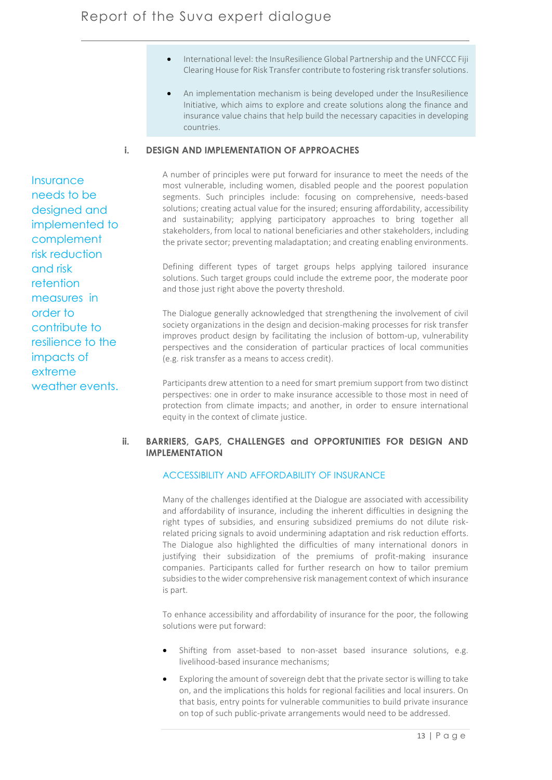- International level: the InsuResilience Global Partnership and the UNFCCC Fiji Clearing House for Risk Transfer contribute to fostering risk transfer solutions.
- An implementation mechanism is being developed under the InsuResilience Initiative, which aims to explore and create solutions along the finance and insurance value chains that help build the necessary capacities in developing countries.

# **i. DESIGN AND IMPLEMENTATION OF APPROACHES**

A number of principles were put forward for insurance to meet the needs of the most vulnerable, including women, disabled people and the poorest population segments. Such principles include: focusing on comprehensive, needs-based solutions; creating actual value for the insured; ensuring affordability, accessibility and sustainability; applying participatory approaches to bring together all stakeholders, from local to national beneficiaries and other stakeholders, including the private sector; preventing maladaptation; and creating enabling environments.

Defining different types of target groups helps applying tailored insurance solutions. Such target groups could include the extreme poor, the moderate poor and those just right above the poverty threshold.

The Dialogue generally acknowledged that strengthening the involvement of civil society organizations in the design and decision-making processes for risk transfer improves product design by facilitating the inclusion of bottom-up, vulnerability perspectives and the consideration of particular practices of local communities (e.g. risk transfer as a means to access credit).

Participants drew attention to a need for smart premium support from two distinct perspectives: one in order to make insurance accessible to those most in need of protection from climate impacts; and another, in order to ensure international equity in the context of climate justice.

#### **ii. BARRIERS, GAPS, CHALLENGES and OPPORTUNITIES FOR DESIGN AND IMPLEMENTATION**

### ACCESSIBILITY AND AFFORDABILITY OF INSURANCE

Many of the challenges identified at the Dialogue are associated with accessibility and affordability of insurance, including the inherent difficulties in designing the right types of subsidies, and ensuring subsidized premiums do not dilute riskrelated pricing signals to avoid undermining adaptation and risk reduction efforts. The Dialogue also highlighted the difficulties of many international donors in justifying their subsidization of the premiums of profit-making insurance companies. Participants called for further research on how to tailor premium subsidies to the wider comprehensive risk management context of which insurance is part.

To enhance accessibility and affordability of insurance for the poor, the following solutions were put forward:

- Shifting from asset-based to non-asset based insurance solutions, e.g. livelihood-based insurance mechanisms;
- Exploring the amount of sovereign debt that the private sector is willing to take on, and the implications this holds for regional facilities and local insurers. On that basis, entry points for vulnerable communities to build private insurance on top of such public-private arrangements would need to be addressed.

Insurance needs to be designed and implemented to complement risk reduction and risk retention measures in order to contribute to resilience to the impacts of extreme weather events.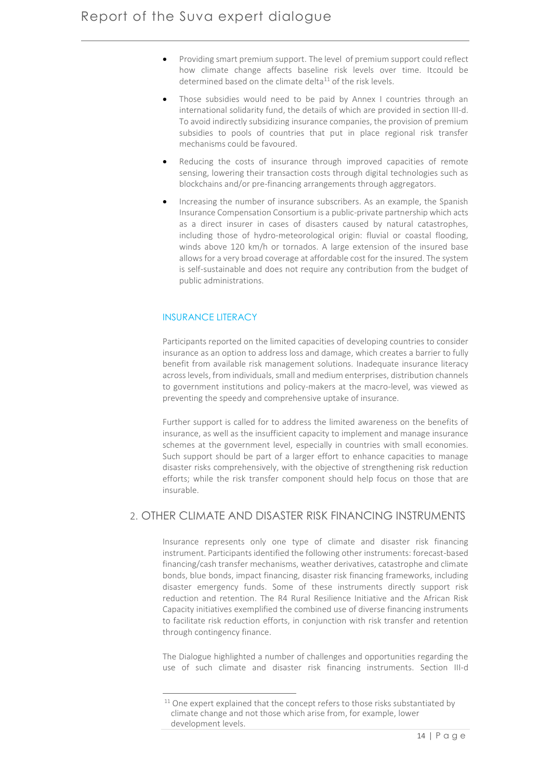- Providing smart premium support. The level of premium support could reflect how climate change affects baseline risk levels over time. Itcould be determined based on the climate delta<sup>11</sup> of the risk levels.
- Those subsidies would need to be paid by Annex I countries through an international solidarity fund, the details of which are provided in section III-d. To avoid indirectly subsidizing insurance companies, the provision of premium subsidies to pools of countries that put in place regional risk transfer mechanisms could be favoured.
- Reducing the costs of insurance through improved capacities of remote sensing, lowering their transaction costs through digital technologies such as blockchains and/or pre-financing arrangements through aggregators.
- Increasing the number of insurance subscribers. As an example, the Spanish Insurance Compensation Consortium is a public-private partnership which acts as a direct insurer in cases of disasters caused by natural catastrophes, including those of hydro-meteorological origin: fluvial or coastal flooding, winds above 120 km/h or tornados. A large extension of the insured base allows for a very broad coverage at affordable cost for the insured. The system is self-sustainable and does not require any contribution from the budget of public administrations.

# INSURANCE LITERACY

Participants reported on the limited capacities of developing countries to consider insurance as an option to address loss and damage, which creates a barrier to fully benefit from available risk management solutions. Inadequate insurance literacy across levels, from individuals, small and medium enterprises, distribution channels to government institutions and policy-makers at the macro-level, was viewed as preventing the speedy and comprehensive uptake of insurance.

Further support is called for to address the limited awareness on the benefits of insurance, as well as the insufficient capacity to implement and manage insurance schemes at the government level, especially in countries with small economies. Such support should be part of a larger effort to enhance capacities to manage disaster risks comprehensively, with the objective of strengthening risk reduction efforts; while the risk transfer component should help focus on those that are insurable.

# 2. OTHER CLIMATE AND DISASTER RISK FINANCING INSTRUMENTS

Insurance represents only one type of climate and disaster risk financing instrument. Participants identified the following other instruments: forecast-based financing/cash transfer mechanisms, weather derivatives, catastrophe and climate bonds, blue bonds, impact financing, disaster risk financing frameworks, including disaster emergency funds. Some of these instruments directly support risk reduction and retention. The R4 Rural Resilience Initiative and the African Risk Capacity initiatives exemplified the combined use of diverse financing instruments to facilitate risk reduction efforts, in conjunction with risk transfer and retention through contingency finance.

The Dialogue highlighted a number of challenges and opportunities regarding the use of such climate and disaster risk financing instruments. Section III-d

<sup>1</sup>  $11$  One expert explained that the concept refers to those risks substantiated by climate change and not those which arise from, for example, lower development levels.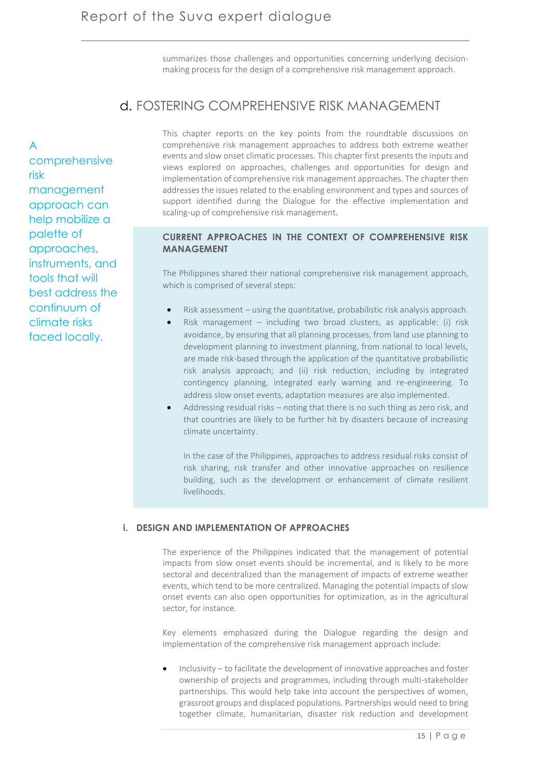summarizes those challenges and opportunities concerning underlying decisionmaking process for the design of a comprehensive risk management approach.

# d. FOSTERING COMPREHENSIVE RISK MANAGEMENT

This chapter reports on the key points from the roundtable discussions on comprehensive risk management approaches to address both extreme weather events and slow onset climatic processes. This chapter first presents the inputs and views explored on approaches, challenges and opportunities for design and implementation of comprehensive risk management approaches. The chapter then addresses the issues related to the enabling environment and types and sources of support identified during the Dialogue for the effective implementation and scaling-up of comprehensive risk management.

# **CURRENT APPROACHES IN THE CONTEXT OF COMPREHENSIVE RISK MANAGEMENT**

The Philippines shared their national comprehensive risk management approach, which is comprised of several steps:

- Risk assessment using the quantitative, probabilistic risk analysis approach.
- Risk management including two broad clusters, as applicable: (i) risk avoidance, by ensuring that all planning processes, from land use planning to development planning to investment planning, from national to local levels, are made risk-based through the application of the quantitative probabilistic risk analysis approach; and (ii) risk reduction, including by integrated contingency planning, integrated early warning and re-engineering. To address slow onset events, adaptation measures are also implemented.
- Addressing residual risks noting that there is no such thing as zero risk, and that countries are likely to be further hit by disasters because of increasing climate uncertainty.

In the case of the Philippines, approaches to address residual risks consist of risk sharing, risk transfer and other innovative approaches on resilience building, such as the development or enhancement of climate resilient livelihoods.

### **i. DESIGN AND IMPLEMENTATION OF APPROACHES**

The experience of the Philippines indicated that the management of potential impacts from slow onset events should be incremental, and is likely to be more sectoral and decentralized than the management of impacts of extreme weather events, which tend to be more centralized. Managing the potential impacts of slow onset events can also open opportunities for optimization, as in the agricultural sector, for instance.

Key elements emphasized during the Dialogue regarding the design and implementation of the comprehensive risk management approach include:

• Inclusivity – to facilitate the development of innovative approaches and foster ownership of projects and programmes, including through multi-stakeholder partnerships. This would help take into account the perspectives of women, grassroot groups and displaced populations. Partnerships would need to bring together climate, humanitarian, disaster risk reduction and development

A comprehensive risk management approach can help mobilize a palette of approaches, instruments, and tools that will best address the continuum of climate risks faced locally.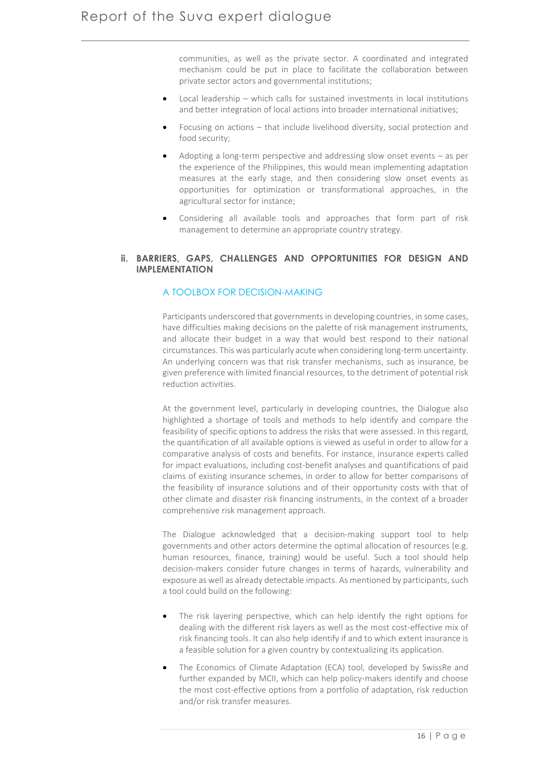communities, as well as the private sector. A coordinated and integrated mechanism could be put in place to facilitate the collaboration between private sector actors and governmental institutions;

- Local leadership which calls for sustained investments in local institutions and better integration of local actions into broader international initiatives;
- Focusing on actions that include livelihood diversity, social protection and food security;
- Adopting a long-term perspective and addressing slow onset events as per the experience of the Philippines, this would mean implementing adaptation measures at the early stage, and then considering slow onset events as opportunities for optimization or transformational approaches, in the agricultural sector for instance;
- Considering all available tools and approaches that form part of risk management to determine an appropriate country strategy.

### **ii. BARRIERS, GAPS, CHALLENGES AND OPPORTUNITIES FOR DESIGN AND IMPLEMENTATION**

## A TOOLBOX FOR DECISION-MAKING

Participants underscored that governments in developing countries, in some cases, have difficulties making decisions on the palette of risk management instruments, and allocate their budget in a way that would best respond to their national circumstances. This was particularly acute when considering long-term uncertainty. An underlying concern was that risk transfer mechanisms, such as insurance, be given preference with limited financial resources, to the detriment of potential risk reduction activities.

At the government level, particularly in developing countries, the Dialogue also highlighted a shortage of tools and methods to help identify and compare the feasibility of specific options to address the risks that were assessed. In this regard, the quantification of all available options is viewed as useful in order to allow for a comparative analysis of costs and benefits. For instance, insurance experts called for impact evaluations, including cost-benefit analyses and quantifications of paid claims of existing insurance schemes, in order to allow for better comparisons of the feasibility of insurance solutions and of their opportunity costs with that of other climate and disaster risk financing instruments, in the context of a broader comprehensive risk management approach.

The Dialogue acknowledged that a decision-making support tool to help governments and other actors determine the optimal allocation of resources (e.g. human resources, finance, training) would be useful. Such a tool should help decision-makers consider future changes in terms of hazards, vulnerability and exposure as well as already detectable impacts. As mentioned by participants, such a tool could build on the following:

- The risk layering perspective, which can help identify the right options for dealing with the different risk layers as well as the most cost-effective mix of risk financing tools. It can also help identify if and to which extent insurance is a feasible solution for a given country by contextualizing its application.
- The Economics of Climate Adaptation (ECA) tool, developed by SwissRe and further expanded by MCII, which can help policy-makers identify and choose the most cost-effective options from a portfolio of adaptation, risk reduction and/or risk transfer measures.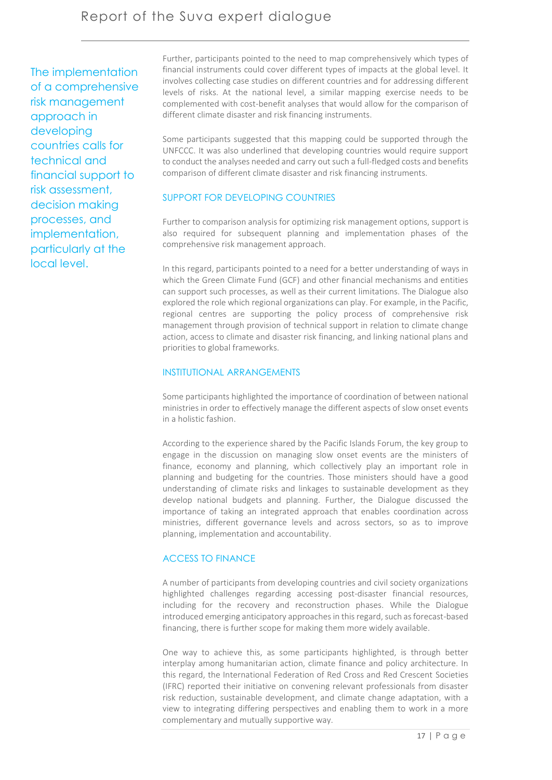The implementation of a comprehensive risk management approach in developing countries calls for technical and financial support to risk assessment, decision making processes, and implementation, particularly at the local level.

Further, participants pointed to the need to map comprehensively which types of financial instruments could cover different types of impacts at the global level. It involves collecting case studies on different countries and for addressing different levels of risks. At the national level, a similar mapping exercise needs to be complemented with cost-benefit analyses that would allow for the comparison of different climate disaster and risk financing instruments.

Some participants suggested that this mapping could be supported through the UNFCCC. It was also underlined that developing countries would require support to conduct the analyses needed and carry out such a full-fledged costs and benefits comparison of different climate disaster and risk financing instruments.

# SUPPORT FOR DEVELOPING COUNTRIES

Further to comparison analysis for optimizing risk management options, support is also required for subsequent planning and implementation phases of the comprehensive risk management approach.

In this regard, participants pointed to a need for a better understanding of ways in which the Green Climate Fund (GCF) and other financial mechanisms and entities can support such processes, as well as their current limitations. The Dialogue also explored the role which regional organizations can play. For example, in the Pacific, regional centres are supporting the policy process of comprehensive risk management through provision of technical support in relation to climate change action, access to climate and disaster risk financing, and linking national plans and priorities to global frameworks.

## INSTITUTIONAL ARRANGEMENTS

Some participants highlighted the importance of coordination of between national ministries in order to effectively manage the different aspects of slow onset events in a holistic fashion.

According to the experience shared by the Pacific Islands Forum, the key group to engage in the discussion on managing slow onset events are the ministers of finance, economy and planning, which collectively play an important role in planning and budgeting for the countries. Those ministers should have a good understanding of climate risks and linkages to sustainable development as they develop national budgets and planning. Further, the Dialogue discussed the importance of taking an integrated approach that enables coordination across ministries, different governance levels and across sectors, so as to improve planning, implementation and accountability.

# ACCESS TO FINANCE

A number of participants from developing countries and civil society organizations highlighted challenges regarding accessing post-disaster financial resources, including for the recovery and reconstruction phases. While the Dialogue introduced emerging anticipatory approaches in this regard, such as forecast-based financing, there is further scope for making them more widely available.

One way to achieve this, as some participants highlighted, is through better interplay among humanitarian action, climate finance and policy architecture. In this regard, the International Federation of Red Cross and Red Crescent Societies (IFRC) reported their initiative on convening relevant professionals from disaster risk reduction, sustainable development, and climate change adaptation, with a view to integrating differing perspectives and enabling them to work in a more complementary and mutually supportive way.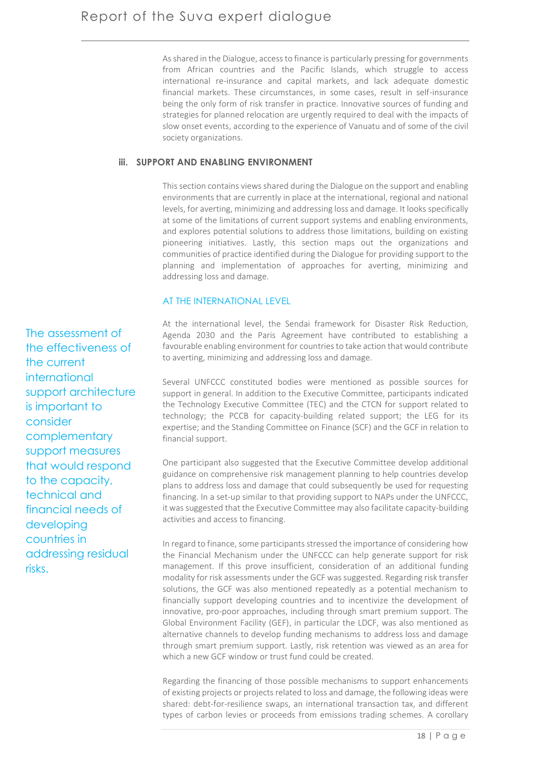As shared in the Dialogue, access to finance is particularly pressing for governments from African countries and the Pacific Islands, which struggle to access international re-insurance and capital markets, and lack adequate domestic financial markets. These circumstances, in some cases, result in self-insurance being the only form of risk transfer in practice. Innovative sources of funding and strategies for planned relocation are urgently required to deal with the impacts of slow onset events, according to the experience of Vanuatu and of some of the civil society organizations.

## **iii. SUPPORT AND ENABLING ENVIRONMENT**

This section contains views shared during the Dialogue on the support and enabling environments that are currently in place at the international, regional and national levels, for averting, minimizing and addressing loss and damage. It looks specifically at some of the limitations of current support systems and enabling environments, and explores potential solutions to address those limitations, building on existing pioneering initiatives. Lastly, this section maps out the organizations and communities of practice identified during the Dialogue for providing support to the planning and implementation of approaches for averting, minimizing and addressing loss and damage.

## AT THE INTERNATIONAL LEVEL

At the international level, the Sendai framework for Disaster Risk Reduction, Agenda 2030 and the Paris Agreement have contributed to establishing a favourable enabling environment for countries to take action that would contribute to averting, minimizing and addressing loss and damage.

Several UNFCCC constituted bodies were mentioned as possible sources for support in general. In addition to the Executive Committee, participants indicated the Technology Executive Committee (TEC) and the CTCN for support related to technology; the PCCB for capacity-building related support; the LEG for its expertise; and the Standing Committee on Finance (SCF) and the GCF in relation to financial support.

One participant also suggested that the Executive Committee develop additional guidance on comprehensive risk management planning to help countries develop plans to address loss and damage that could subsequently be used for requesting financing. In a set-up similar to that providing support to NAPs under the UNFCCC, it was suggested that the Executive Committee may also facilitate capacity-building activities and access to financing.

In regard to finance, some participants stressed the importance of considering how the Financial Mechanism under the UNFCCC can help generate support for risk management. If this prove insufficient, consideration of an additional funding modality for risk assessments under the GCF was suggested. Regarding risk transfer solutions, the GCF was also mentioned repeatedly as a potential mechanism to financially support developing countries and to incentivize the development of innovative, pro-poor approaches, including through smart premium support. The Global Environment Facility (GEF), in particular the LDCF, was also mentioned as alternative channels to develop funding mechanisms to address loss and damage through smart premium support. Lastly, risk retention was viewed as an area for which a new GCF window or trust fund could be created.

Regarding the financing of those possible mechanisms to support enhancements of existing projects or projects related to loss and damage, the following ideas were shared: debt-for-resilience swaps, an international transaction tax, and different types of carbon levies or proceeds from emissions trading schemes. A corollary

The assessment of the effectiveness of the current international support architecture is important to consider complementary support measures that would respond to the capacity, technical and financial needs of developing countries in addressing residual risks.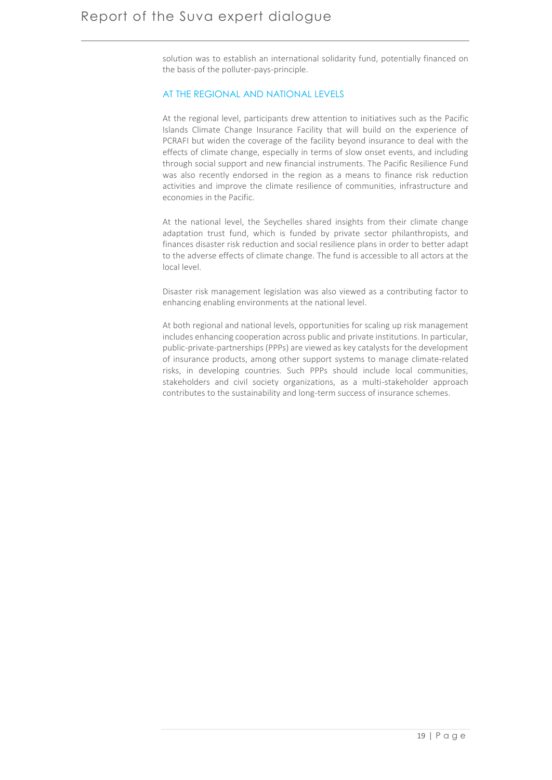solution was to establish an international solidarity fund, potentially financed on the basis of the polluter-pays-principle.

## AT THE REGIONAL AND NATIONAL LEVELS

At the regional level, participants drew attention to initiatives such as the Pacific Islands Climate Change Insurance Facility that will build on the experience of PCRAFI but widen the coverage of the facility beyond insurance to deal with the effects of climate change, especially in terms of slow onset events, and including through social support and new financial instruments. The Pacific Resilience Fund was also recently endorsed in the region as a means to finance risk reduction activities and improve the climate resilience of communities, infrastructure and economies in the Pacific.

At the national level, the Seychelles shared insights from their climate change adaptation trust fund, which is funded by private sector philanthropists, and finances disaster risk reduction and social resilience plans in order to better adapt to the adverse effects of climate change. The fund is accessible to all actors at the local level.

Disaster risk management legislation was also viewed as a contributing factor to enhancing enabling environments at the national level.

At both regional and national levels, opportunities for scaling up risk management includes enhancing cooperation across public and private institutions. In particular, public-private-partnerships (PPPs) are viewed as key catalysts for the development of insurance products, among other support systems to manage climate-related risks, in developing countries. Such PPPs should include local communities, stakeholders and civil society organizations, as a multi-stakeholder approach contributes to the sustainability and long-term success of insurance schemes.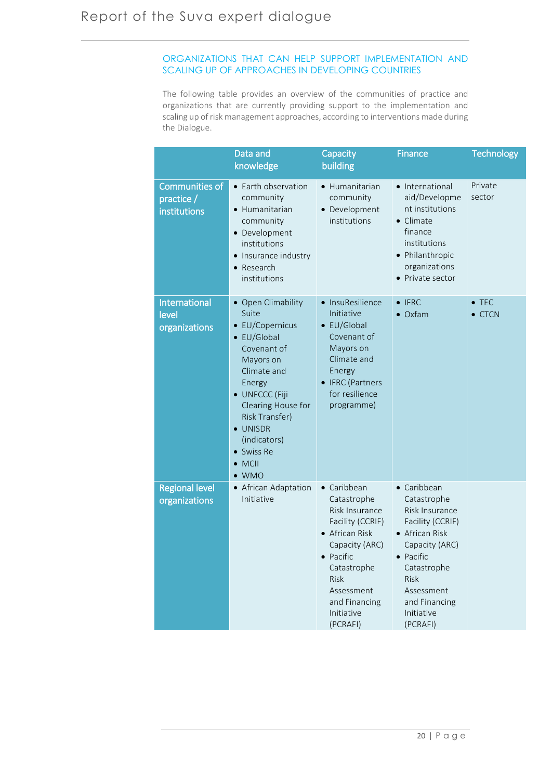# ORGANIZATIONS THAT CAN HELP SUPPORT IMPLEMENTATION AND SCALING UP OF APPROACHES IN DEVELOPING COUNTRIES

The following table provides an overview of the communities of practice and organizations that are currently providing support to the implementation and scaling up of risk management approaches, according to interventions made during the Dialogue.

|                                             | Data and<br>knowledge                                                                                                                                                                                                                                   | Capacity<br>building                                                                                                                                                                                             | <b>Finance</b>                                                                                                                                                                                                   | <b>Technology</b>               |
|---------------------------------------------|---------------------------------------------------------------------------------------------------------------------------------------------------------------------------------------------------------------------------------------------------------|------------------------------------------------------------------------------------------------------------------------------------------------------------------------------------------------------------------|------------------------------------------------------------------------------------------------------------------------------------------------------------------------------------------------------------------|---------------------------------|
| Communities of<br>practice/<br>institutions | • Earth observation<br>community<br>• Humanitarian<br>community<br>• Development<br>institutions<br>• Insurance industry<br>• Research<br>institutions                                                                                                  | • Humanitarian<br>community<br>• Development<br>institutions                                                                                                                                                     | • International<br>aid/Developme<br>nt institutions<br>$\bullet$ Climate<br>finance<br>institutions<br>• Philanthropic<br>organizations<br>• Private sector                                                      | Private<br>sector               |
| International<br>level<br>organizations     | • Open Climability<br>Suite<br>• EU/Copernicus<br>$\bullet$ EU/Global<br>Covenant of<br>Mayors on<br>Climate and<br>Energy<br>· UNFCCC (Fiji<br>Clearing House for<br>Risk Transfer)<br>• UNISDR<br>(indicators)<br>• Swiss Re<br>MCII<br>$\bullet$ WMO | • InsuResilience<br>Initiative<br>$\bullet$ EU/Global<br>Covenant of<br>Mayors on<br>Climate and<br>Energy<br>• IFRC (Partners<br>for resilience<br>programme)                                                   | $\bullet$ IFRC<br>$\bullet$ Oxfam                                                                                                                                                                                | $\bullet$ TEC<br>$\bullet$ CTCN |
| <b>Regional level</b><br>organizations      | • African Adaptation<br>Initiative                                                                                                                                                                                                                      | • Caribbean<br>Catastrophe<br>Risk Insurance<br>Facility (CCRIF)<br>• African Risk<br>Capacity (ARC)<br>$\bullet$ Pacific<br>Catastrophe<br><b>Risk</b><br>Assessment<br>and Financing<br>Initiative<br>(PCRAFI) | • Caribbean<br>Catastrophe<br>Risk Insurance<br>Facility (CCRIF)<br>• African Risk<br>Capacity (ARC)<br>$\bullet$ Pacific<br>Catastrophe<br><b>Risk</b><br>Assessment<br>and Financing<br>Initiative<br>(PCRAFI) |                                 |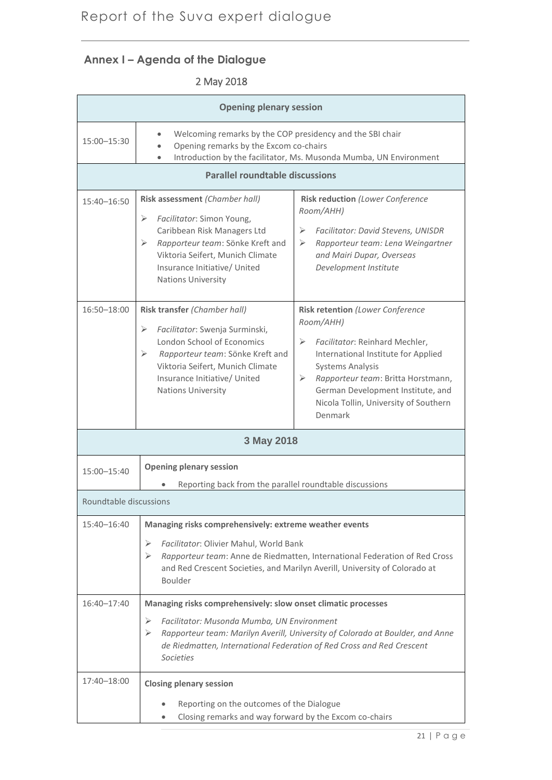# **Annex I – Agenda of the Dialogue**

# 2 May 2018

| <b>Opening plenary session</b>         |                                                                                                                                                                                                                                                                                                     |                                                                                                                                                                                                                                                                                            |  |  |  |  |
|----------------------------------------|-----------------------------------------------------------------------------------------------------------------------------------------------------------------------------------------------------------------------------------------------------------------------------------------------------|--------------------------------------------------------------------------------------------------------------------------------------------------------------------------------------------------------------------------------------------------------------------------------------------|--|--|--|--|
| 15:00-15:30                            | Welcoming remarks by the COP presidency and the SBI chair<br>Opening remarks by the Excom co-chairs<br>Introduction by the facilitator, Ms. Musonda Mumba, UN Environment                                                                                                                           |                                                                                                                                                                                                                                                                                            |  |  |  |  |
| <b>Parallel roundtable discussions</b> |                                                                                                                                                                                                                                                                                                     |                                                                                                                                                                                                                                                                                            |  |  |  |  |
| $15:40 - 16:50$                        | Risk assessment (Chamber hall)<br>Facilitator: Simon Young,<br>➤<br>Caribbean Risk Managers Ltd<br>Rapporteur team: Sönke Kreft and<br>➤<br>Viktoria Seifert, Munich Climate<br>Insurance Initiative/ United<br><b>Nations University</b>                                                           | Risk reduction (Lower Conference<br>Room/AHH)<br>Facilitator: David Stevens, UNISDR<br>$\triangleright$<br>Rapporteur team: Lena Weingartner<br>➤<br>and Mairi Dupar, Overseas<br>Development Institute                                                                                    |  |  |  |  |
| 16:50-18:00                            | Risk transfer (Chamber hall)<br>Facilitator: Swenja Surminski,<br>⋗<br>London School of Economics<br>Rapporteur team: Sönke Kreft and<br>➤<br>Viktoria Seifert, Munich Climate<br>Insurance Initiative/ United<br><b>Nations University</b>                                                         | Risk retention (Lower Conference<br>Room/AHH)<br>Facilitator: Reinhard Mechler,<br>➤<br>International Institute for Applied<br><b>Systems Analysis</b><br>≻<br>Rapporteur team: Britta Horstmann,<br>German Development Institute, and<br>Nicola Tollin, University of Southern<br>Denmark |  |  |  |  |
| 3 May 2018                             |                                                                                                                                                                                                                                                                                                     |                                                                                                                                                                                                                                                                                            |  |  |  |  |
| 15:00-15:40                            | <b>Opening plenary session</b><br>Reporting back from the parallel roundtable discussions                                                                                                                                                                                                           |                                                                                                                                                                                                                                                                                            |  |  |  |  |
| Roundtable discussions                 |                                                                                                                                                                                                                                                                                                     |                                                                                                                                                                                                                                                                                            |  |  |  |  |
| 15:40-16:40                            | Managing risks comprehensively: extreme weather events<br>Facilitator: Olivier Mahul, World Bank<br>⋗<br>➤<br>Rapporteur team: Anne de Riedmatten, International Federation of Red Cross<br>and Red Crescent Societies, and Marilyn Averill, University of Colorado at<br>Boulder                   |                                                                                                                                                                                                                                                                                            |  |  |  |  |
| $16:40 - 17:40$                        | Managing risks comprehensively: slow onset climatic processes<br>Facilitator: Musonda Mumba, UN Environment<br>⋗<br>Rapporteur team: Marilyn Averill, University of Colorado at Boulder, and Anne<br>➤<br>de Riedmatten, International Federation of Red Cross and Red Crescent<br><b>Societies</b> |                                                                                                                                                                                                                                                                                            |  |  |  |  |
| 17:40-18:00                            | <b>Closing plenary session</b><br>Reporting on the outcomes of the Dialogue<br>Closing remarks and way forward by the Excom co-chairs                                                                                                                                                               |                                                                                                                                                                                                                                                                                            |  |  |  |  |